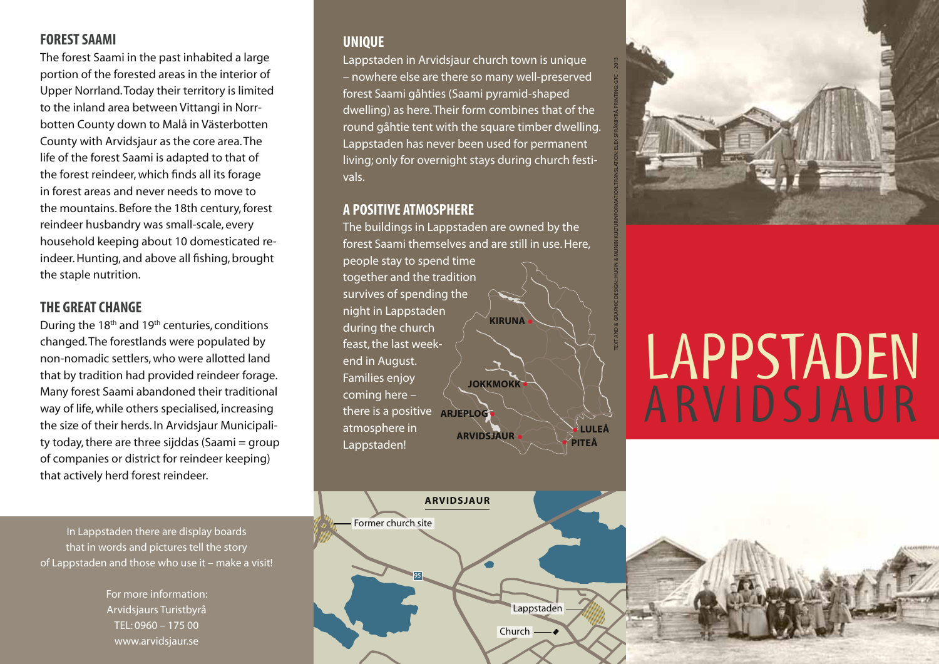# **FOREST SAAMI**

The forest Saami in the past inhabited a large portion of the forested areas in the interior of Upper Norrland. Today their territory is limited to the inland area between Vittangi in Norrbotten County down to Malå in Västerbotten County with Arvidsjaur as the core area. The life of the forest Saami is adapted to that of the forest reindeer, which finds all its forage in forest areas and never needs to move to the mountains. Before the 18th century, forest reindeer husbandry was small-scale, every household keeping about 10 domesticated reindeer. Hunting, and above all fishing, brought the staple nutrition.

# **THE GREAT CHANGE**

During the 18th and 19th centuries, conditions changed. The forestlands were populated by non-nomadic settlers, who were allotted land that by tradition had provided reindeer forage. Many forest Saami abandoned their traditional way of life, while others specialised, increasing the size of their herds. In Arvidsjaur Municipality today, there are three sijddas (Saami  $=$  group of companies or district for reindeer keeping) that actively herd forest reindeer.

In Lappstaden there are display boards that in words and pictures tell the story of Lappstaden and those who use it – make a visit!

> For more information: Arvidsjaurs Turistbyrå TEL: 0960 – 175 00 www.arvidsjaur.se

# **UNIQUE**

Lappstaden in Arvidsjaur church town is unique – nowhere else are there so many well-preserved forest Saami gåhties (Saami pyramid-shaped dwelling) as here. Their form combines that of the round gåhtie tent with the square timber dwelling. Lappstaden has never been used for permanent living; only for overnight stays during church festivals.

### **A POSITIVE ATMOSPHERE**

The buildings in Lappstaden are owned by the forest Saami themselves and are still in use. Here, people stay to spend time







# LAPPSTADEN ARVIDSJAUR